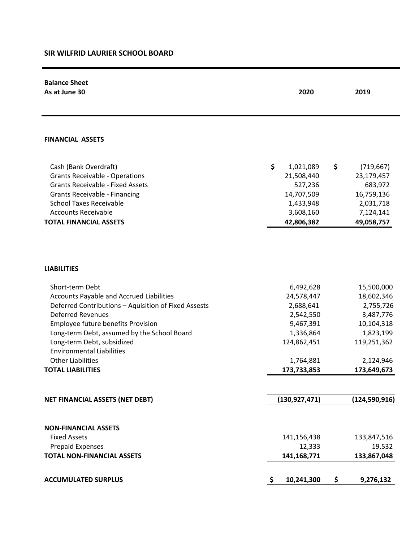## **SIR WILFRID LAURIER SCHOOL BOARD**

| <b>Balance Sheet</b><br>As at June 30                                                            | 2020<br>2019            |                         |  |
|--------------------------------------------------------------------------------------------------|-------------------------|-------------------------|--|
|                                                                                                  |                         |                         |  |
|                                                                                                  |                         |                         |  |
| <b>FINANCIAL ASSETS</b>                                                                          |                         |                         |  |
| Cash (Bank Overdraft)                                                                            | \$<br>1,021,089         | \$<br>(719, 667)        |  |
| <b>Grants Receivable - Operations</b>                                                            | 21,508,440              | 23,179,457              |  |
| <b>Grants Receivable - Fixed Assets</b>                                                          | 527,236                 | 683,972                 |  |
| <b>Grants Receivable - Financing</b>                                                             | 14,707,509              | 16,759,136              |  |
| <b>School Taxes Receivable</b>                                                                   | 1,433,948               | 2,031,718               |  |
| <b>Accounts Receivable</b>                                                                       | 3,608,160               | 7,124,141               |  |
| <b>TOTAL FINANCIAL ASSETS</b>                                                                    | 42,806,382              | 49,058,757              |  |
| <b>LIABILITIES</b>                                                                               |                         |                         |  |
|                                                                                                  |                         |                         |  |
| Short-term Debt                                                                                  | 6,492,628               | 15,500,000              |  |
| Accounts Payable and Accrued Liabilities<br>Deferred Contributions - Aquisition of Fixed Assests | 24,578,447<br>2,688,641 | 18,602,346<br>2,755,726 |  |
| <b>Deferred Revenues</b>                                                                         | 2,542,550               | 3,487,776               |  |
| Employee future benefits Provision                                                               | 9,467,391               | 10,104,318              |  |
| Long-term Debt, assumed by the School Board                                                      | 1,336,864               | 1,823,199               |  |
| Long-term Debt, subsidized                                                                       | 124,862,451             | 119,251,362             |  |
| <b>Environmental Liabilities</b>                                                                 |                         |                         |  |
| <b>Other Liabilities</b>                                                                         | 1,764,881               | 2,124,946               |  |
| <b>TOTAL LIABILITIES</b>                                                                         | 173,733,853             | 173,649,673             |  |
|                                                                                                  |                         |                         |  |
| NET FINANCIAL ASSETS (NET DEBT)                                                                  | (130, 927, 471)         | (124, 590, 916)         |  |
|                                                                                                  |                         |                         |  |
| <b>NON-FINANCIAL ASSETS</b>                                                                      |                         |                         |  |
| <b>Fixed Assets</b>                                                                              | 141,156,438             | 133,847,516             |  |
| <b>Prepaid Expenses</b>                                                                          | 12,333                  | 19,532                  |  |
| <b>TOTAL NON-FINANCIAL ASSETS</b>                                                                | 141,168,771             | 133,867,048             |  |
|                                                                                                  |                         |                         |  |
| <b>ACCUMULATED SURPLUS</b>                                                                       | \$<br>10,241,300        | \$<br>9,276,132         |  |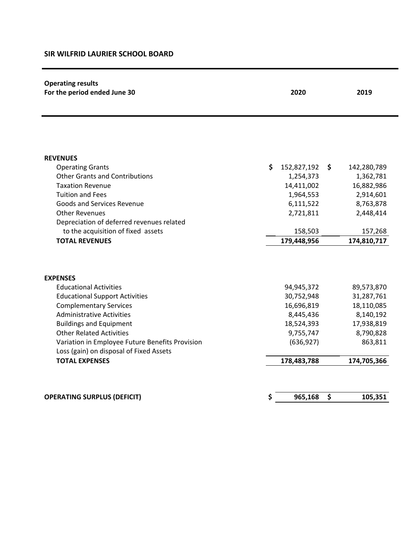## **SIR WILFRID LAURIER SCHOOL BOARD**

| <b>Operating results</b><br>For the period ended June 30 | 2020              |                   |  |
|----------------------------------------------------------|-------------------|-------------------|--|
|                                                          |                   |                   |  |
| <b>REVENUES</b>                                          |                   |                   |  |
| <b>Operating Grants</b>                                  | \$<br>152,827,192 | \$<br>142,280,789 |  |
| <b>Other Grants and Contributions</b>                    | 1,254,373         | 1,362,781         |  |
| <b>Taxation Revenue</b>                                  | 14,411,002        | 16,882,986        |  |
| <b>Tuition and Fees</b>                                  | 1,964,553         | 2,914,601         |  |
| Goods and Services Revenue                               | 6,111,522         | 8,763,878         |  |
| <b>Other Revenues</b>                                    | 2,721,811         | 2,448,414         |  |
| Depreciation of deferred revenues related                |                   |                   |  |
| to the acquisition of fixed assets                       | 158,503           | 157,268           |  |
| <b>TOTAL REVENUES</b>                                    | 179,448,956       | 174,810,717       |  |
|                                                          |                   |                   |  |
| <b>EXPENSES</b>                                          |                   |                   |  |
| <b>Educational Activities</b>                            | 94,945,372        | 89,573,870        |  |
| <b>Educational Support Activities</b>                    | 30,752,948        | 31,287,761        |  |
| <b>Complementary Services</b>                            | 16,696,819        | 18,110,085        |  |
| <b>Administrative Activities</b>                         | 8,445,436         | 8,140,192         |  |
| <b>Buildings and Equipment</b>                           | 18,524,393        | 17,938,819        |  |
| <b>Other Related Activities</b>                          | 9,755,747         | 8,790,828         |  |
| Variation in Employee Future Benefits Provision          | (636, 927)        | 863,811           |  |
| Loss (gain) on disposal of Fixed Assets                  |                   |                   |  |
| <b>TOTAL EXPENSES</b>                                    | 178,483,788       | 174,705,366       |  |
|                                                          |                   |                   |  |
| <b>OPERATING SURPLUS (DEFICIT)</b>                       | \$<br>965,168     | \$<br>105,351     |  |